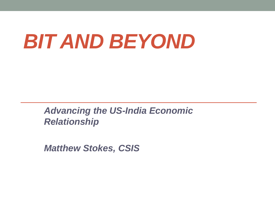# *BIT AND BEYOND*

*Advancing the US-India Economic Relationship*

*Matthew Stokes, CSIS*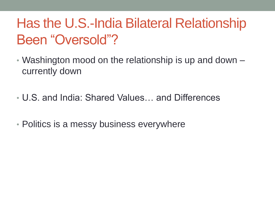#### Has the U.S.-India Bilateral Relationship Been "Oversold"?

- Washington mood on the relationship is up and down currently down
- U.S. and India: Shared Values… and Differences
- Politics is a messy business everywhere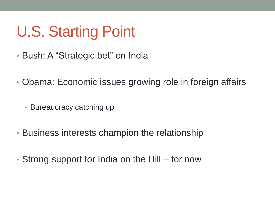# U.S. Starting Point

- Bush: A "Strategic bet" on India
- Obama: Economic issues growing role in foreign affairs
	- Bureaucracy catching up
- Business interests champion the relationship
- Strong support for India on the Hill for now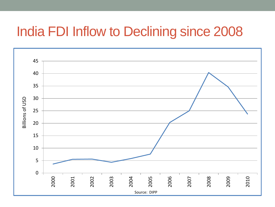#### India FDI Inflow to Declining since 2008

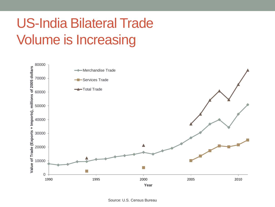#### US -India Bilateral Trade Volume is Increasing

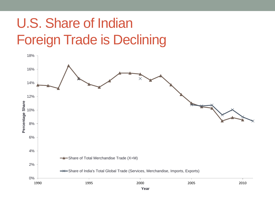#### U.S. Share of Indian Foreign Trade is Declining

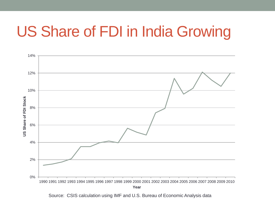#### US Share of FDI in India Growing



Source: CSIS calculation using IMF and U.S. Bureau of Economic Analysis data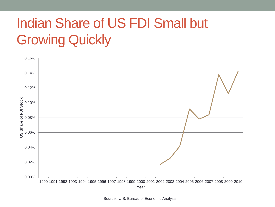#### Indian Share of US FDI Small but Growing Quickly



Source: U.S. Bureau of Economic Analysis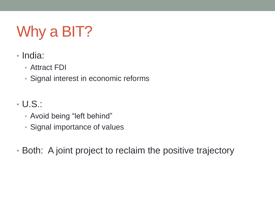# Why a BIT?

- India:
	- Attract FDI
	- Signal interest in economic reforms
- U.S.:
	- Avoid being "left behind"
	- Signal importance of values
- Both: A joint project to reclaim the positive trajectory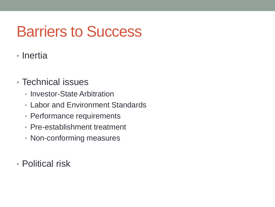## Barriers to Success

- Inertia
- Technical issues
	- Investor-State Arbitration
	- Labor and Environment Standards
	- Performance requirements
	- Pre-establishment treatment
	- Non-conforming measures
- Political risk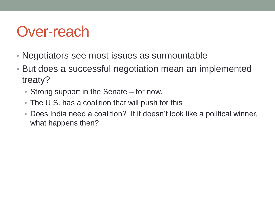### Over-reach

- Negotiators see most issues as surmountable
- But does a successful negotiation mean an implemented treaty?
	- Strong support in the Senate for now.
	- The U.S. has a coalition that will push for this
	- Does India need a coalition? If it doesn't look like a political winner, what happens then?